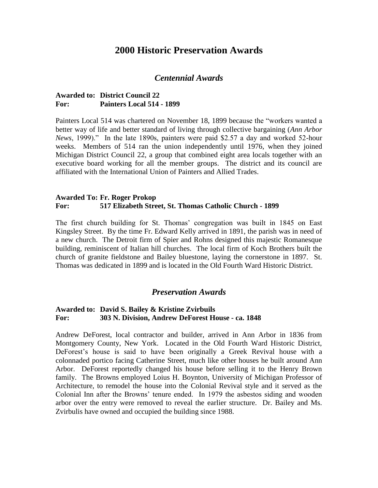# **2000 Historic Preservation Awards**

## *Centennial Awards*

### **Awarded to: District Council 22 For: Painters Local 514 - 1899**

Painters Local 514 was chartered on November 18, 1899 because the "workers wanted a better way of life and better standard of living through collective bargaining (*Ann Arbor News*, 1999)." In the late 1890s, painters were paid \$2.57 a day and worked 52-hour weeks. Members of 514 ran the union independently until 1976, when they joined Michigan District Council 22, a group that combined eight area locals together with an executive board working for all the member groups. The district and its council are affiliated with the International Union of Painters and Allied Trades.

#### **Awarded To: Fr. Roger Prokop For: 517 Elizabeth Street, St. Thomas Catholic Church - 1899**

The first church building for St. Thomas' congregation was built in 1845 on East Kingsley Street. By the time Fr. Edward Kelly arrived in 1891, the parish was in need of a new church. The Detroit firm of Spier and Rohns designed this majestic Romanesque building, reminiscent of Italian hill churches. The local firm of Koch Brothers built the church of granite fieldstone and Bailey bluestone, laying the cornerstone in 1897. St. Thomas was dedicated in 1899 and is located in the Old Fourth Ward Historic District.

## *Preservation Awards*

#### **Awarded to: David S. Bailey & Kristine Zvirbuils For: 303 N. Division, Andrew DeForest House - ca. 1848**

Andrew DeForest, local contractor and builder, arrived in Ann Arbor in 1836 from Montgomery County, New York. Located in the Old Fourth Ward Historic District, DeForest's house is said to have been originally a Greek Revival house with a colonnaded portico facing Catherine Street, much like other houses he built around Ann Arbor. DeForest reportedly changed his house before selling it to the Henry Brown family. The Browns employed Loius H. Boynton, University of Michigan Professor of Architecture, to remodel the house into the Colonial Revival style and it served as the Colonial Inn after the Browns' tenure ended. In 1979 the asbestos siding and wooden arbor over the entry were removed to reveal the earlier structure. Dr. Bailey and Ms. Zvirbulis have owned and occupied the building since 1988.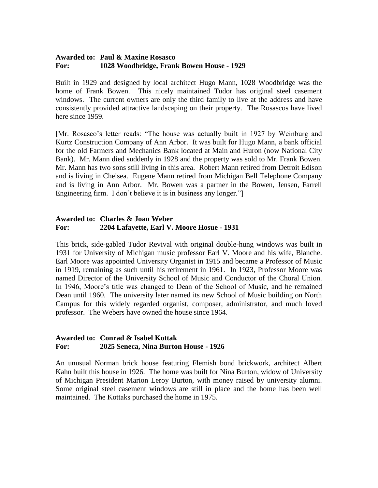## **Awarded to: Paul & Maxine Rosasco For: 1028 Woodbridge, Frank Bowen House - 1929**

Built in 1929 and designed by local architect Hugo Mann, 1028 Woodbridge was the home of Frank Bowen. This nicely maintained Tudor has original steel casement windows. The current owners are only the third family to live at the address and have consistently provided attractive landscaping on their property. The Rosascos have lived here since 1959.

[Mr. Rosasco's letter reads: "The house was actually built in 1927 by Weinburg and Kurtz Construction Company of Ann Arbor. It was built for Hugo Mann, a bank official for the old Farmers and Mechanics Bank located at Main and Huron (now National City Bank). Mr. Mann died suddenly in 1928 and the property was sold to Mr. Frank Bowen. Mr. Mann has two sons still living in this area. Robert Mann retired from Detroit Edison and is living in Chelsea. Eugene Mann retired from Michigan Bell Telephone Company and is living in Ann Arbor. Mr. Bowen was a partner in the Bowen, Jensen, Farrell Engineering firm. I don't believe it is in business any longer."]

## **Awarded to: Charles & Joan Weber For: 2204 Lafayette, Earl V. Moore Hosue - 1931**

This brick, side-gabled Tudor Revival with original double-hung windows was built in 1931 for University of Michigan music professor Earl V. Moore and his wife, Blanche. Earl Moore was appointed University Organist in 1915 and became a Professor of Music in 1919, remaining as such until his retirement in 1961. In 1923, Professor Moore was named Director of the University School of Music and Conductor of the Choral Union. In 1946, Moore's title was changed to Dean of the School of Music, and he remained Dean until 1960. The university later named its new School of Music building on North Campus for this widely regarded organist, composer, administrator, and much loved professor. The Webers have owned the house since 1964.

## **Awarded to: Conrad & Isabel Kottak For: 2025 Seneca, Nina Burton House - 1926**

An unusual Norman brick house featuring Flemish bond brickwork, architect Albert Kahn built this house in 1926. The home was built for Nina Burton, widow of University of Michigan President Marion Leroy Burton, with money raised by university alumni. Some original steel casement windows are still in place and the home has been well maintained. The Kottaks purchased the home in 1975.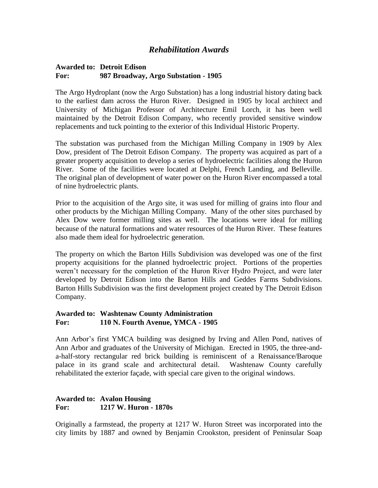## *Rehabilitation Awards*

#### **Awarded to: Detroit Edison For: 987 Broadway, Argo Substation - 1905**

The Argo Hydroplant (now the Argo Substation) has a long industrial history dating back to the earliest dam across the Huron River. Designed in 1905 by local architect and University of Michigan Professor of Architecture Emil Lorch, it has been well maintained by the Detroit Edison Company, who recently provided sensitive window replacements and tuck pointing to the exterior of this Individual Historic Property.

The substation was purchased from the Michigan Milling Company in 1909 by Alex Dow, president of The Detroit Edison Company. The property was acquired as part of a greater property acquisition to develop a series of hydroelectric facilities along the Huron River. Some of the facilities were located at Delphi, French Landing, and Belleville. The original plan of development of water power on the Huron River encompassed a total of nine hydroelectric plants.

Prior to the acquisition of the Argo site, it was used for milling of grains into flour and other products by the Michigan Milling Company. Many of the other sites purchased by Alex Dow were former milling sites as well. The locations were ideal for milling because of the natural formations and water resources of the Huron River. These features also made them ideal for hydroelectric generation.

The property on which the Barton Hills Subdivision was developed was one of the first property acquisitions for the planned hydroelectric project. Portions of the properties weren't necessary for the completion of the Huron River Hydro Project, and were later developed by Detroit Edison into the Barton Hills and Geddes Farms Subdivisions. Barton Hills Subdivision was the first development project created by The Detroit Edison Company.

#### **Awarded to: Washtenaw County Administration For: 110 N. Fourth Avenue, YMCA - 1905**

Ann Arbor's first YMCA building was designed by Irving and Allen Pond, natives of Ann Arbor and graduates of the University of Michigan. Erected in 1905, the three-anda-half-story rectangular red brick building is reminiscent of a Renaissance/Baroque palace in its grand scale and architectural detail. Washtenaw County carefully rehabilitated the exterior façade, with special care given to the original windows.

## **Awarded to: Avalon Housing For: 1217 W. Huron - 1870s**

Originally a farmstead, the property at 1217 W. Huron Street was incorporated into the city limits by 1887 and owned by Benjamin Crookston, president of Peninsular Soap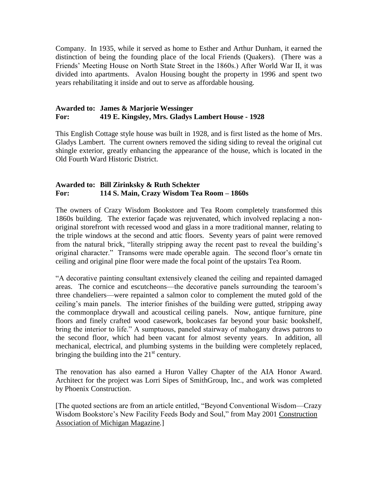Company. In 1935, while it served as home to Esther and Arthur Dunham, it earned the distinction of being the founding place of the local Friends (Quakers). (There was a Friends' Meeting House on North State Street in the 1860s.) After World War II, it was divided into apartments. Avalon Housing bought the property in 1996 and spent two years rehabilitating it inside and out to serve as affordable housing.

## **Awarded to: James & Marjorie Wessinger For: 419 E. Kingsley, Mrs. Gladys Lambert House - 1928**

This English Cottage style house was built in 1928, and is first listed as the home of Mrs. Gladys Lambert. The current owners removed the siding siding to reveal the original cut shingle exterior, greatly enhancing the appearance of the house, which is located in the Old Fourth Ward Historic District.

## **Awarded to: Bill Zirinksky & Ruth Schekter For: 114 S. Main, Crazy Wisdom Tea Room – 1860s**

The owners of Crazy Wisdom Bookstore and Tea Room completely transformed this 1860s building. The exterior façade was rejuvenated, which involved replacing a nonoriginal storefront with recessed wood and glass in a more traditional manner, relating to the triple windows at the second and attic floors. Seventy years of paint were removed from the natural brick, "literally stripping away the recent past to reveal the building's original character." Transoms were made operable again. The second floor's ornate tin ceiling and original pine floor were made the focal point of the upstairs Tea Room.

"A decorative painting consultant extensively cleaned the ceiling and repainted damaged areas. The cornice and escutcheons—the decorative panels surrounding the tearoom's three chandeliers—were repainted a salmon color to complement the muted gold of the ceiling's main panels. The interior finishes of the building were gutted, stripping away the commonplace drywall and acoustical ceiling panels. Now, antique furniture, pine floors and finely crafted wood casework, bookcases far beyond your basic bookshelf, bring the interior to life." A sumptuous, paneled stairway of mahogany draws patrons to the second floor, which had been vacant for almost seventy years. In addition, all mechanical, electrical, and plumbing systems in the building were completely replaced, bringing the building into the  $21<sup>st</sup>$  century.

The renovation has also earned a Huron Valley Chapter of the AIA Honor Award. Architect for the project was Lorri Sipes of SmithGroup, Inc., and work was completed by Phoenix Construction.

[The quoted sections are from an article entitled, "Beyond Conventional Wisdom—Crazy Wisdom Bookstore's New Facility Feeds Body and Soul," from May 2001 Construction Association of Michigan Magazine*.*]